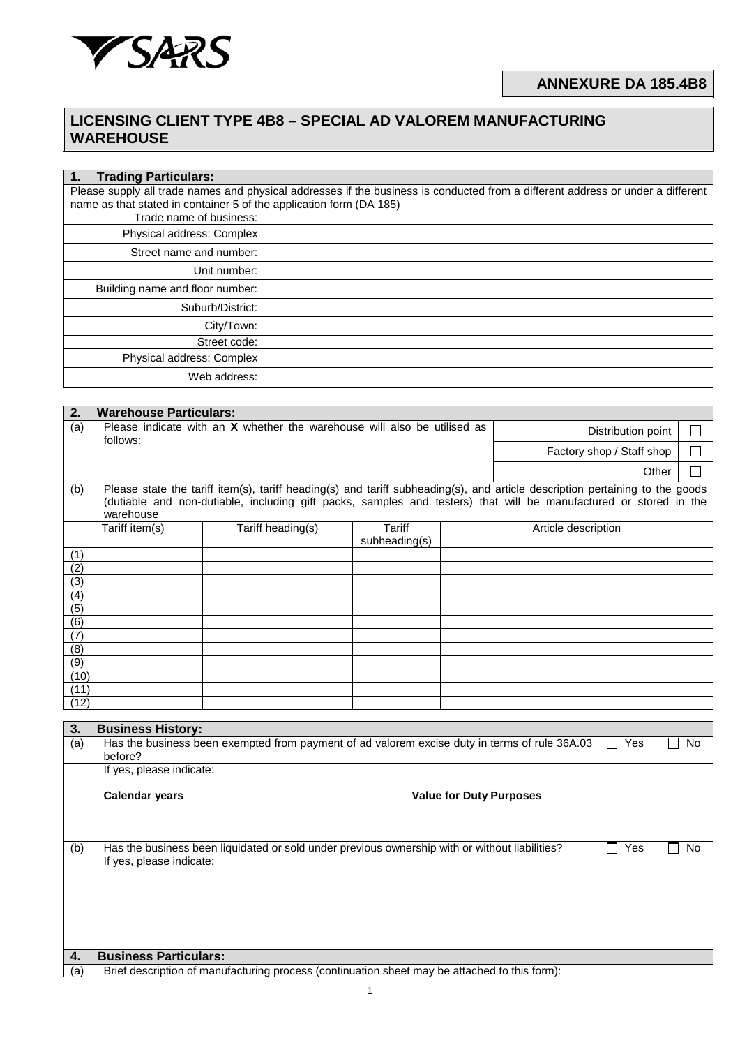

## **LICENSING CLIENT TYPE 4B8 – SPECIAL AD VALOREM MANUFACTURING WAREHOUSE**

| <b>Trading Particulars:</b><br>$\mathbf 1$ .                        |                                                                                                                                 |
|---------------------------------------------------------------------|---------------------------------------------------------------------------------------------------------------------------------|
|                                                                     | Please supply all trade names and physical addresses if the business is conducted from a different address or under a different |
| name as that stated in container 5 of the application form (DA 185) |                                                                                                                                 |
| Trade name of business:                                             |                                                                                                                                 |
| Physical address: Complex                                           |                                                                                                                                 |
| Street name and number:                                             |                                                                                                                                 |
| Unit number:                                                        |                                                                                                                                 |
| Building name and floor number:                                     |                                                                                                                                 |
| Suburb/District:                                                    |                                                                                                                                 |
| City/Town:                                                          |                                                                                                                                 |
| Street code:                                                        |                                                                                                                                 |
| Physical address: Complex                                           |                                                                                                                                 |
| Web address:                                                        |                                                                                                                                 |

| 2.               | <b>Warehouse Particulars:</b>                                                                                                  |                                                                                               |                           |  |                              |    |  |  |  |  |  |  |
|------------------|--------------------------------------------------------------------------------------------------------------------------------|-----------------------------------------------------------------------------------------------|---------------------------|--|------------------------------|----|--|--|--|--|--|--|
| (a)              | Please indicate with an X whether the warehouse will also be utilised as<br>Distribution point<br>follows:                     |                                                                                               |                           |  |                              |    |  |  |  |  |  |  |
|                  |                                                                                                                                |                                                                                               | Factory shop / Staff shop |  |                              |    |  |  |  |  |  |  |
|                  | Other                                                                                                                          |                                                                                               |                           |  |                              |    |  |  |  |  |  |  |
| (b)              | Please state the tariff item(s), tariff heading(s) and tariff subheading(s), and article description pertaining to the goods   |                                                                                               |                           |  |                              |    |  |  |  |  |  |  |
|                  | (dutiable and non-dutiable, including gift packs, samples and testers) that will be manufactured or stored in the<br>warehouse |                                                                                               |                           |  |                              |    |  |  |  |  |  |  |
|                  | $T$ ariff item(s)<br>Tariff heading(s)<br><b>Tariff</b><br>Article description                                                 |                                                                                               |                           |  |                              |    |  |  |  |  |  |  |
|                  |                                                                                                                                |                                                                                               | subheading(s)             |  |                              |    |  |  |  |  |  |  |
| (1)              |                                                                                                                                |                                                                                               |                           |  |                              |    |  |  |  |  |  |  |
| (2)              |                                                                                                                                |                                                                                               |                           |  |                              |    |  |  |  |  |  |  |
| (3)              |                                                                                                                                |                                                                                               |                           |  |                              |    |  |  |  |  |  |  |
| (4)<br>(5)       |                                                                                                                                |                                                                                               |                           |  |                              |    |  |  |  |  |  |  |
| (6)              |                                                                                                                                |                                                                                               |                           |  |                              |    |  |  |  |  |  |  |
| (7)              |                                                                                                                                |                                                                                               |                           |  |                              |    |  |  |  |  |  |  |
| (8)              |                                                                                                                                |                                                                                               |                           |  |                              |    |  |  |  |  |  |  |
| $\overline{(9)}$ |                                                                                                                                |                                                                                               |                           |  |                              |    |  |  |  |  |  |  |
| (10)             |                                                                                                                                |                                                                                               |                           |  |                              |    |  |  |  |  |  |  |
| (11)             |                                                                                                                                |                                                                                               |                           |  |                              |    |  |  |  |  |  |  |
| (12)             |                                                                                                                                |                                                                                               |                           |  |                              |    |  |  |  |  |  |  |
| 3.               | <b>Business History:</b>                                                                                                       |                                                                                               |                           |  |                              |    |  |  |  |  |  |  |
| (a)              | before?                                                                                                                        | Has the business been exempted from payment of ad valorem excise duty in terms of rule 36A.03 |                           |  | <b>Yes</b><br>$\blacksquare$ | No |  |  |  |  |  |  |
|                  | If yes, please indicate:                                                                                                       |                                                                                               |                           |  |                              |    |  |  |  |  |  |  |
|                  |                                                                                                                                |                                                                                               |                           |  |                              |    |  |  |  |  |  |  |
|                  | <b>Calendar years</b><br><b>Value for Duty Purposes</b>                                                                        |                                                                                               |                           |  |                              |    |  |  |  |  |  |  |
|                  |                                                                                                                                |                                                                                               |                           |  |                              |    |  |  |  |  |  |  |
|                  |                                                                                                                                |                                                                                               |                           |  |                              |    |  |  |  |  |  |  |
| (b)              | Has the business been liquidated or sold under previous ownership with or without liabilities?<br>Yes<br>No                    |                                                                                               |                           |  |                              |    |  |  |  |  |  |  |
|                  | If yes, please indicate:                                                                                                       |                                                                                               |                           |  |                              |    |  |  |  |  |  |  |
|                  |                                                                                                                                |                                                                                               |                           |  |                              |    |  |  |  |  |  |  |
|                  |                                                                                                                                |                                                                                               |                           |  |                              |    |  |  |  |  |  |  |
|                  |                                                                                                                                |                                                                                               |                           |  |                              |    |  |  |  |  |  |  |
|                  |                                                                                                                                |                                                                                               |                           |  |                              |    |  |  |  |  |  |  |
|                  |                                                                                                                                |                                                                                               |                           |  |                              |    |  |  |  |  |  |  |
| 4.               | <b>Business Particulars:</b>                                                                                                   |                                                                                               |                           |  |                              |    |  |  |  |  |  |  |
| (a)              |                                                                                                                                | Brief description of manufacturing process (continuation sheet may be attached to this form): |                           |  |                              |    |  |  |  |  |  |  |